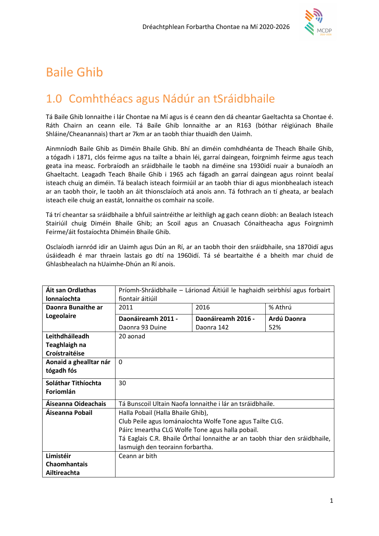

# Baile Ghib

# 1.0 Comhthéacs agus Nádúr an tSráidbhaile

Tá Baile Ghib lonnaithe i lár Chontae na Mí agus is é ceann den dá cheantar Gaeltachta sa Chontae é. Ráth Chairn an ceann eile. Tá Baile Ghib lonnaithe ar an R163 (bóthar réigiúnach Bhaile Shláine/Cheanannais) thart ar 7km ar an taobh thiar thuaidh den Uaimh.

Ainmníodh Baile Ghib as Diméin Bhaile Ghib. Bhí an diméin comhdhéanta de Theach Bhaile Ghib, a tógadh i 1871, clós feirme agus na tailte a bhain léi, garraí daingean, foirgnimh feirme agus teach geata ina measc. Forbraíodh an sráidbhaile le taobh na diméine sna 1930idí nuair a bunaíodh an Ghaeltacht. Leagadh Teach Bhaile Ghib i 1965 ach fágadh an garraí daingean agus roinnt bealaí isteach chuig an diméin. Tá bealach isteach foirmiúil ar an taobh thiar di agus mionbhealach isteach ar an taobh thoir, le taobh an áit thionsclaíoch atá anois ann. Tá fothrach an tí gheata, ar bealach isteach eile chuig an eastát, lonnaithe os comhair na scoile.

Tá trí cheantar sa sráidbhaile a bhfuil saintréithe ar leithligh ag gach ceann díobh: an Bealach Isteach Stairiúil chuig Diméin Bhaile Ghib; an Scoil agus an Cnuasach Cónaitheacha agus Foirgnimh Feirme/áit fostaíochta Dhiméin Bhaile Ghib.

Osclaíodh iarnród idir an Uaimh agus Dún an Rí, ar an taobh thoir den sráidbhaile, sna 1870idí agus úsáideadh é mar thraein lastais go dtí na 1960idí. Tá sé beartaithe é a bheith mar chuid de Ghlasbhealach na hUaimhe-Dhún an Rí anois.

| Áit san Ordlathas      | Príomh-Shráidbhaile – Lárionad Áitiúil le haghaidh seirbhísí agus forbairt |                    |             |  |  |
|------------------------|----------------------------------------------------------------------------|--------------------|-------------|--|--|
| <b>lonnaíochta</b>     | fiontair áitiúil                                                           |                    |             |  |  |
| Daonra Bunaithe ar     | 2016<br>% Athrú<br>2011                                                    |                    |             |  |  |
| Logeolaire             | Daonáireamh 2011 -                                                         | Daonáireamh 2016 - | Ardú Daonra |  |  |
|                        | Daonra 93 Duine                                                            | Daonra 142         | 52%         |  |  |
| Leithdháileadh         | 20 aonad                                                                   |                    |             |  |  |
| Teaghlaigh na          |                                                                            |                    |             |  |  |
| Croístraitéise         |                                                                            |                    |             |  |  |
| Aonaid a ghealltar nár | $\Omega$                                                                   |                    |             |  |  |
| tógadh fós             |                                                                            |                    |             |  |  |
| Soláthar Tithíochta    | 30                                                                         |                    |             |  |  |
| Foriomlán              |                                                                            |                    |             |  |  |
| Áiseanna Oideachais    | Tá Bunscoil Ultain Naofa lonnaithe i lár an tsráidbhaile.                  |                    |             |  |  |
| Áiseanna Pobail        | Halla Pobail (Halla Bhaile Ghib),                                          |                    |             |  |  |
|                        | Club Peile agus Iománaíochta Wolfe Tone agus Tailte CLG.                   |                    |             |  |  |
|                        | Páirc Imeartha CLG Wolfe Tone agus halla pobail.                           |                    |             |  |  |
|                        | Tá Eaglais C.R. Bhaile Órthaí lonnaithe ar an taobh thiar den sráidbhaile, |                    |             |  |  |
|                        | lasmuigh den teorainn forbartha.                                           |                    |             |  |  |
| Limistéir              | Ceann ar bith                                                              |                    |             |  |  |
| <b>Chaomhantais</b>    |                                                                            |                    |             |  |  |
| Ailtireachta           |                                                                            |                    |             |  |  |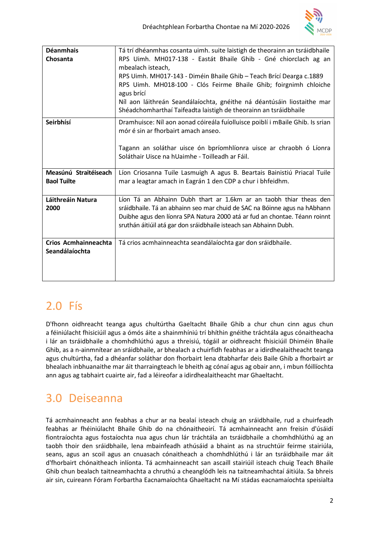

| <b>Déanmhais</b><br>Chosanta                | Tá trí dhéanmhas cosanta uimh. suite laistigh de theorainn an tsráidbhaile<br>RPS Uimh. MH017-138 - Eastát Bhaile Ghib - Gné chiorclach ag an<br>mbealach isteach,<br>RPS Uimh. MH017-143 - Diméin Bhaile Ghib - Teach Brící Dearga c.1889<br>RPS Uimh. MH018-100 - Clós Feirme Bhaile Ghib; foirgnimh chloiche<br>agus brící<br>Níl aon láithreán Seandálaíochta, gnéithe ná déantúsáin liostaithe mar<br>Shéadchomharthaí Taifeadta laistigh de theorainn an tsráidbhaile |
|---------------------------------------------|-----------------------------------------------------------------------------------------------------------------------------------------------------------------------------------------------------------------------------------------------------------------------------------------------------------------------------------------------------------------------------------------------------------------------------------------------------------------------------|
| Seirbhísí                                   | Dramhuisce: Níl aon aonad cóireála fuíolluisce poiblí i mBaile Ghib. Is srian<br>mór é sin ar fhorbairt amach anseo.<br>Tagann an soláthar uisce ón bpríomhlíonra uisce ar chraobh ó Líonra<br>Soláthair Uisce na hUaimhe - Toilleadh ar Fáil.                                                                                                                                                                                                                              |
| Measúnú Straitéiseach<br><b>Baol Tuilte</b> | Líon Criosanna Tuile Lasmuigh A agus B. Beartais Bainistiú Priacal Tuile<br>mar a leagtar amach in Eagrán 1 den CDP a chur i bhfeidhm.                                                                                                                                                                                                                                                                                                                                      |
| Láithreáin Natura<br>2000                   | Líon Tá an Abhainn Dubh thart ar 1.6km ar an taobh thiar theas den<br>sráidbhaile. Tá an abhainn seo mar chuid de SAC na Bóinne agus na hAbhann<br>Duibhe agus den líonra SPA Natura 2000 atá ar fud an chontae. Téann roinnt<br>sruthán áitiúil atá gar don sráidbhaile isteach san Abhainn Dubh.                                                                                                                                                                          |
| Crios Acmhainneachta<br>Seandálaíochta      | Tá crios acmhainneachta seandálaíochta gar don sráidbhaile.                                                                                                                                                                                                                                                                                                                                                                                                                 |

# 2.0 Fís

D'fhonn oidhreacht teanga agus chultúrtha Gaeltacht Bhaile Ghib a chur chun cinn agus chun a féiniúlacht fhisiciúil agus a ómós áite a shainmhíniú trí bhíthin gnéithe tráchtála agus cónaitheacha i lár an tsráidbhaile a chomhdhlúthú agus a threisiú, tógáil ar oidhreacht fhisiciúil Dhiméin Bhaile Ghib, as a n-ainmnítear an sráidbhaile, ar bhealach a chuirfidh feabhas ar a idirdhealaitheacht teanga agus chultúrtha, fad a dhéanfar soláthar don fhorbairt lena dtabharfar deis Baile Ghib a fhorbairt ar bhealach inbhuanaithe mar áit tharraingteach le bheith ag cónaí agus ag obair ann, i mbun fóillíochta ann agus ag tabhairt cuairte air, fad a léireofar a idirdhealaitheacht mar Ghaeltacht.

# 3.0 Deiseanna

Tá acmhainneacht ann feabhas a chur ar na bealaí isteach chuig an sráidbhaile, rud a chuirfeadh feabhas ar fhéiniúlacht Bhaile Ghib do na chónaitheoirí. Tá acmhainneacht ann freisin d'úsáidí fiontraíochta agus fostaíochta nua agus chun lár tráchtála an tsráidbhaile a chomhdhlúthú ag an taobh thoir den sráidbhaile, lena mbainfeadh athúsáid a bhaint as na struchtúir feirme stairiúla, seans, agus an scoil agus an cnuasach cónaitheach a chomhdhlúthú i lár an tsráidbhaile mar áit d'fhorbairt chónaitheach inlíonta. Tá acmhainneacht san ascaill stairiúil isteach chuig Teach Bhaile Ghib chun bealach taitneamhachta a chruthú a cheanglódh leis na taitneamhachtaí áitiúla. Sa bhreis air sin, cuireann Fóram Forbartha Eacnamaíochta Ghaeltacht na Mí stádas eacnamaíochta speisialta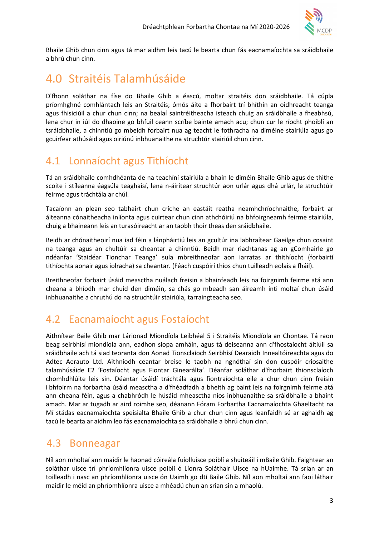

Bhaile Ghib chun cinn agus tá mar aidhm leis tacú le bearta chun fás eacnamaíochta sa sráidbhaile a bhrú chun cinn.

## 4.0 Straitéis Talamhúsáide

D'fhonn soláthar na físe do Bhaile Ghib a éascú, moltar straitéis don sráidbhaile. Tá cúpla príomhghné comhlántach leis an Straitéis; ómós áite a fhorbairt trí bhíthin an oidhreacht teanga agus fhisiciúil a chur chun cinn; na bealaí saintréitheacha isteach chuig an sráidbhaile a fheabhsú, lena chur in iúl do dhaoine go bhfuil ceann scríbe bainte amach acu; chun cur le ríocht phoiblí an tsráidbhaile, a chinntiú go mbeidh forbairt nua ag teacht le fothracha na diméine stairiúla agus go gcuirfear athúsáid agus oiriúnú inbhuanaithe na struchtúr stairiúil chun cinn.

### 4.1 Lonnaíocht agus Tithíocht

Tá an sráidbhaile comhdhéanta de na teachíní stairiúla a bhain le diméin Bhaile Ghib agus de thithe scoite i stíleanna éagsúla teaghaisí, lena n-áirítear struchtúr aon urlár agus dhá urlár, le struchtúir feirme agus tráchtála ar chúl.

Tacaíonn an plean seo tabhairt chun críche an eastáit reatha neamhchríochnaithe, forbairt ar áiteanna cónaitheacha inlíonta agus cuirtear chun cinn athchóiriú na bhfoirgneamh feirme stairiúla, chuig a bhaineann leis an turasóireacht ar an taobh thoir theas den sráidbhaile.

Beidh ar chónaitheoirí nua iad féin a lánpháirtiú leis an gcultúr ina labhraítear Gaeilge chun cosaint na teanga agus an chultúir sa cheantar a chinntiú. Beidh mar riachtanas ag an gComhairle go ndéanfar 'Staidéar Tionchar Teanga' sula mbreithneofar aon iarratas ar thithíocht (forbairtí tithíochta aonair agus iolracha) sa cheantar. (Féach cuspóirí thíos chun tuilleadh eolais a fháil).

Breithneofar forbairt úsáid measctha nuálach freisin a bhainfeadh leis na foirgnimh feirme atá ann cheana a bhíodh mar chuid den diméin, sa chás go mbeadh san áireamh inti moltaí chun úsáid inbhuanaithe a chruthú do na struchtúir stairiúla, tarraingteacha seo.

## 4.2 Eacnamaíocht agus Fostaíocht

Aithnítear Baile Ghib mar Lárionad Miondíola Leibhéal 5 i Straitéis Miondíola an Chontae. Tá raon beag seirbhísí miondíola ann, eadhon siopa amháin, agus tá deiseanna ann d'fhostaíocht áitiúil sa sráidbhaile ach tá siad teoranta don Aonad Tionsclaíoch Seirbhísí Dearaidh Innealtóireachta agus do Adtec Aerauto Ltd. Aithníodh ceantar breise le taobh na ngnóthaí sin don cuspóir criosaithe talamhúsáide E2 'Fostaíocht agus Fiontar Ginearálta'. Déanfar soláthar d'fhorbairt thionsclaíoch chomhdhlúite leis sin. Déantar úsáidí tráchtála agus fiontraíochta eile a chur chun cinn freisin i bhfoirm na forbartha úsáid measctha a d'fhéadfadh a bheith ag baint leis na foirgnimh feirme atá ann cheana féin, agus a chabhródh le húsáid mheasctha níos inbhuanaithe sa sráidbhaile a bhaint amach. Mar ar tugadh ar aird roimhe seo, déanann Fóram Forbartha Eacnamaíochta Ghaeltacht na Mí stádas eacnamaíochta speisialta Bhaile Ghib a chur chun cinn agus leanfaidh sé ar aghaidh ag tacú le bearta ar aidhm leo fás eacnamaíochta sa sráidbhaile a bhrú chun cinn.

### 4.3 Bonneagar

Níl aon mholtaí ann maidir le haonad cóireála fuíolluisce poiblí a shuiteáil i mBaile Ghib. Faightear an soláthar uisce trí phríomhlíonra uisce poiblí ó Líonra Soláthair Uisce na hUaimhe. Tá srian ar an toilleadh i nasc an phríomhlíonra uisce ón Uaimh go dtí Baile Ghib. Níl aon mholtaí ann faoi láthair maidir le méid an phríomhlíonra uisce a mhéadú chun an srian sin a mhaolú.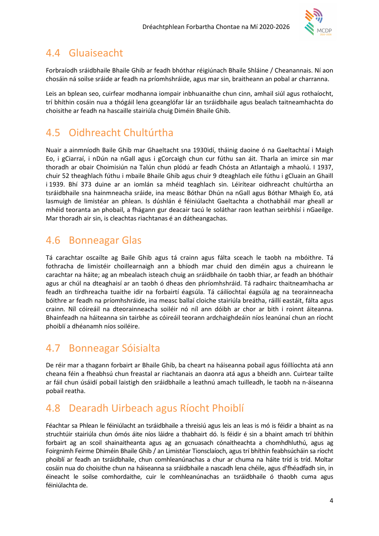

### 4.4 Gluaiseacht

Forbraíodh sráidbhaile Bhaile Ghib ar feadh bhóthar réigiúnach Bhaile Shláine / Cheanannais. Ní aon chosáin ná soilse sráide ar feadh na príomhshráide, agus mar sin, braitheann an pobal ar charranna.

Leis an bplean seo, cuirfear modhanna iompair inbhuanaithe chun cinn, amhail siúl agus rothaíocht, trí bhíthin cosáin nua a thógáil lena gceanglófar lár an tsráidbhaile agus bealach taitneamhachta do choisithe ar feadh na hascaille stairiúla chuig Diméin Bhaile Ghib.

## 4.5 Oidhreacht Chultúrtha

Nuair a ainmníodh Baile Ghib mar Ghaeltacht sna 1930idí, tháinig daoine ó na Gaeltachtaí i Maigh Eo, i gCiarraí, i nDún na nGall agus i gCorcaigh chun cur fúthu san áit. Tharla an imirce sin mar thoradh ar obair Choimisiún na Talún chun plódú ar feadh Chósta an Atlantaigh a mhaolú. I 1937, chuir 52 theaghlach fúthu i mbaile Bhaile Ghib agus chuir 9 dteaghlach eile fúthu i gCluain an Ghaill i 1939. Bhí 373 duine ar an iomlán sa mhéid teaghlach sin. Léirítear oidhreacht chultúrtha an tsráidbhaile sna hainmneacha sráide, ina measc Bóthar Dhún na nGall agus Bóthar Mhaigh Eo, atá lasmuigh de limistéar an phlean. Is dúshlán é féiniúlacht Gaeltachta a chothabháil mar gheall ar mhéid teoranta an phobail, a fhágann gur deacair tacú le soláthar raon leathan seirbhísí i nGaeilge. Mar thoradh air sin, is cleachtas riachtanas é an dátheangachas.

## 4.6 Bonneagar Glas

Tá carachtar oscailte ag Baile Ghib agus tá crainn agus fálta sceach le taobh na mbóithre. Tá fothracha de limistéir choillearnaigh ann a bhíodh mar chuid den diméin agus a chuireann le carachtar na háite; ag an mbealach isteach chuig an sráidbhaile ón taobh thiar, ar feadh an bhóthair agus ar chúl na dteaghaisí ar an taobh ó dheas den phríomhshráid. Tá radhairc thaitneamhacha ar feadh an tírdhreacha tuaithe idir na forbairtí éagsúla. Tá cáilíochtaí éagsúla ag na teorainneacha bóithre ar feadh na príomhshráide, ina measc ballaí cloiche stairiúla breátha, ráillí eastáit, fálta agus crainn. Níl cóireáil na dteorainneacha soiléir nó níl ann dóibh ar chor ar bith i roinnt áiteanna. Bhainfeadh na háiteanna sin tairbhe as cóireáil teorann ardchaighdeáin níos leanúnaí chun an ríocht phoiblí a dhéanamh níos soiléire.

### 4.7 Bonneagar Sóisialta

De réir mar a thagann forbairt ar Bhaile Ghib, ba cheart na háiseanna pobail agus fóillíochta atá ann cheana féin a fheabhsú chun freastal ar riachtanais an daonra atá agus a bheidh ann. Cuirtear tailte ar fáil chun úsáidí pobail laistigh den sráidbhaile a leathnú amach tuilleadh, le taobh na n-áiseanna pobail reatha.

## 4.8 Dearadh Uirbeach agus Ríocht Phoiblí

Féachtar sa Phlean le féiniúlacht an tsráidbhaile a threisiú agus leis an leas is mó is féidir a bhaint as na struchtúir stairiúla chun ómós áite níos láidre a thabhairt dó. Is féidir é sin a bhaint amach trí bhíthin forbairt ag an scoil shainaitheanta agus ag an gcnuasach cónaitheachta a chomhdhluthú, agus ag Foirgnimh Feirme Dhiméin Bhaile Ghib / an Limistéar Tionsclaíoch, agus trí bhíthin feabhsúcháin sa ríocht phoiblí ar feadh an tsráidbhaile, chun comhleanúnachas a chur ar chuma na háite tríd is tríd. Moltar cosáin nua do choisithe chun na háiseanna sa sráidbhaile a nascadh lena chéile, agus d'fhéadfadh sin, in éineacht le soilse comhordaithe, cuir le comhleanúnachas an tsráidbhaile ó thaobh cuma agus féiniúlachta de.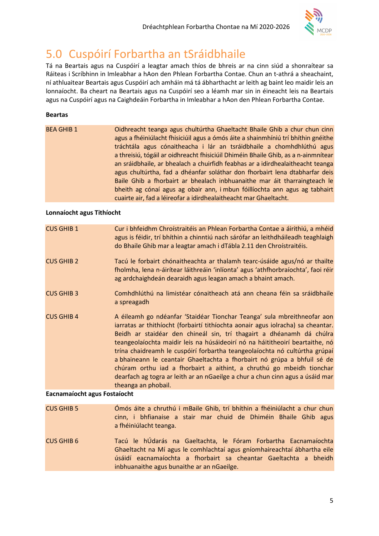

# 5.0 Cuspóirí Forbartha an tSráidbhaile

Tá na Beartais agus na Cuspóirí a leagtar amach thíos de bhreis ar na cinn siúd a shonraítear sa Ráiteas i Scríbhinn in Imleabhar a hAon den Phlean Forbartha Contae. Chun an t-athrá a sheachaint, ní athluaitear Beartais agus Cuspóirí ach amháin má tá ábharthacht ar leith ag baint leo maidir leis an lonnaíocht. Ba cheart na Beartais agus na Cuspóirí seo a léamh mar sin in éineacht leis na Beartais agus na Cuspóirí agus na Caighdeáin Forbartha in Imleabhar a hAon den Phlean Forbartha Contae.

#### Beartas

| <b>BEA GHIB 1</b> | Oidhreacht teanga agus chultúrtha Ghaeltacht Bhaile Ghib a chur chun cinn          |
|-------------------|------------------------------------------------------------------------------------|
|                   | agus a fhéiniúlacht fhisiciúil agus a ómós áite a shainmhíniú trí bhíthin gnéithe  |
|                   | tráchtála agus cónaitheacha i lár an tsráidbhaile a chomhdhlúthú agus              |
|                   | a threisiú, tógáil ar oidhreacht fhisiciúil Dhiméin Bhaile Ghib, as a n-ainmnítear |
|                   | an sráidbhaile, ar bhealach a chuirfidh feabhas ar a idirdhealaitheacht teanga     |
|                   | agus chultúrtha, fad a dhéanfar soláthar don fhorbairt lena dtabharfar deis        |
|                   | Baile Ghib a fhorbairt ar bhealach inbhuanaithe mar áit tharraingteach le          |
|                   | bheith ag cónaí agus ag obair ann, i mbun fóillíochta ann agus ag tabhairt         |
|                   | cuairte air, fad a léireofar a idirdhealaitheacht mar Ghaeltacht.                  |

#### Lonnaíocht agus Tithíocht

| <b>CUS GHIB 1</b>            | Cur i bhfeidhm Chroístraitéis an Phlean Forbartha Contae a áirithiú, a mhéid<br>agus is féidir, trí bhíthin a chinntiú nach sárófar an leithdháileadh teaghlaigh<br>do Bhaile Ghib mar a leagtar amach i dTábla 2.11 den Chroístraitéis.                                                                                                                                                                                                                                                                                                                                                                                                                    |
|------------------------------|-------------------------------------------------------------------------------------------------------------------------------------------------------------------------------------------------------------------------------------------------------------------------------------------------------------------------------------------------------------------------------------------------------------------------------------------------------------------------------------------------------------------------------------------------------------------------------------------------------------------------------------------------------------|
| <b>CUS GHIB 2</b>            | Tacú le forbairt chónaitheachta ar thalamh tearc-úsáide agus/nó ar thailte<br>fholmha, lena n-áirítear láithreáin 'inlíonta' agus 'athfhorbraíochta', faoi réir<br>ag ardchaighdeán dearaidh agus leagan amach a bhaint amach.                                                                                                                                                                                                                                                                                                                                                                                                                              |
| <b>CUS GHIB 3</b>            | Comhdhlúthú na limistéar cónaitheach atá ann cheana féin sa sráidbhaile<br>a spreagadh                                                                                                                                                                                                                                                                                                                                                                                                                                                                                                                                                                      |
| <b>CUS GHIB 4</b>            | A éileamh go ndéanfar 'Staidéar Tionchar Teanga' sula mbreithneofar aon<br>iarratas ar thithíocht (forbairtí tithíochta aonair agus iolracha) sa cheantar.<br>Beidh ar staidéar den chineál sin, trí thagairt a dhéanamh dá chúlra<br>teangeolaíochta maidir leis na húsáideoirí nó na háititheoirí beartaithe, nó<br>trína chaidreamh le cuspóirí forbartha teangeolaíochta nó cultúrtha grúpaí<br>a bhaineann le ceantair Ghaeltachta a fhorbairt nó grúpa a bhfuil sé de<br>chúram orthu iad a fhorbairt a aithint, a chruthú go mbeidh tionchar<br>dearfach ag togra ar leith ar an nGaeilge a chur a chun cinn agus a úsáid mar<br>theanga an phobail. |
| Eacnamaíocht agus Eostaíocht |                                                                                                                                                                                                                                                                                                                                                                                                                                                                                                                                                                                                                                                             |

#### Eacnamaíocht agus Fostaíocht

CUS GHIB 5 Ómós áite a chruthú i mBaile Ghib, trí bhíthin a fhéiniúlacht a chur chun cinn, i bhfianaise a stair mar chuid de Dhiméin Bhaile Ghib agus a fhéiniúlacht teanga.

CUS GHIB 6 Tacú le hÚdarás na Gaeltachta, le Fóram Forbartha Eacnamaíochta Ghaeltacht na Mí agus le comhlachtaí agus gníomhaireachtaí ábhartha eile úsáidí eacnamaíochta a fhorbairt sa cheantar Gaeltachta a bheidh inbhuanaithe agus bunaithe ar an nGaeilge.